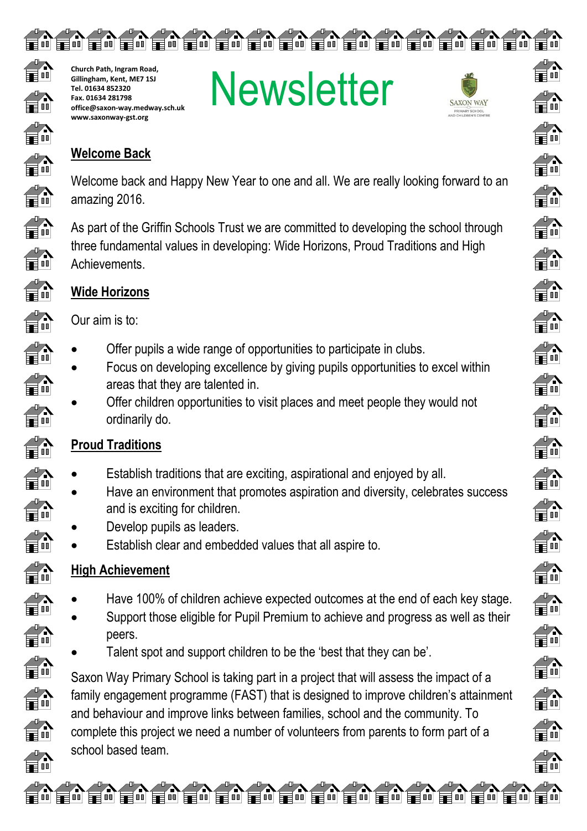

**Church Path, Ingram Road, Gillingham, Kent, ME7 1SJ Tel. 01634 852320 Fax. 01634 281798 [office@saxon-way.medway.sch.uk](mailto:office@saxon-way.medway.sch.uk) www.saxonway-gst.org**

# **Newsletter**



#### **Welcome Back**

Welcome back and Happy New Year to one and all. We are really looking forward to an amazing 2016.

As part of the Griffin Schools Trust we are committed to developing the school through three fundamental values in developing: Wide Horizons, Proud Traditions and High Achievements.



# **Wide Horizons**

Our aim is to:

- Offer pupils a wide range of opportunities to participate in clubs.
- Focus on developing excellence by giving pupils opportunities to excel within areas that they are talented in.
- Offer children opportunities to visit places and meet people they would not ordinarily do.

## **Proud Traditions**

- Establish traditions that are exciting, aspirational and enjoyed by all.
- Have an environment that promotes aspiration and diversity, celebrates success and is exciting for children.
- Develop pupils as leaders.
- Establish clear and embedded values that all aspire to.

# **High Achievement**

- Have 100% of children achieve expected outcomes at the end of each key stage.
- Support those eligible for Pupil Premium to achieve and progress as well as their peers.
- Talent spot and support children to be the 'best that they can be'.

Saxon Way Primary School is taking part in a project that will assess the impact of a family engagement programme (FAST) that is designed to improve children's attainment and behaviour and improve links between families, school and the community. To complete this project we need a number of volunteers from parents to form part of a school based team.

en en en en en en en en en en en



m<br>En

 $\frac{d}{d}$ 

 $\equiv$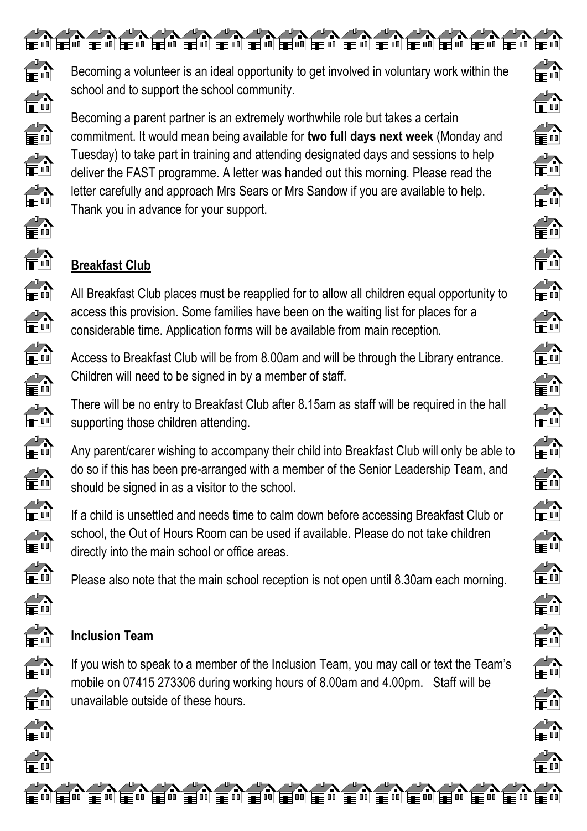

Becoming a volunteer is an ideal opportunity to get involved in voluntary work within the school and to support the school community.

Becoming a parent partner is an extremely worthwhile role but takes a certain commitment. It would mean being available for **two full days next week** (Monday and Tuesday) to take part in training and attending designated days and sessions to help deliver the FAST programme. A letter was handed out this morning. Please read the letter carefully and approach Mrs Sears or Mrs Sandow if you are available to help. Thank you in advance for your support.

# **Breakfast Club**

All Breakfast Club places must be reapplied for to allow all children equal opportunity to access this provision. Some families have been on the waiting list for places for a considerable time. Application forms will be available from main reception.

 $\frac{d}{d}$ n

Tū

 $\frac{1}{2}$ 

 $\frac{d}{dt}$ 

a di

 $\frac{1}{2}$ 

—<br>Tw

孟

ń

Access to Breakfast Club will be from 8.00am and will be through the Library entrance. Children will need to be signed in by a member of staff.

There will be no entry to Breakfast Club after 8.15am as staff will be required in the hall supporting those children attending.

Any parent/carer wishing to accompany their child into Breakfast Club will only be able to do so if this has been pre-arranged with a member of the Senior Leadership Team, and should be signed in as a visitor to the school.

If a child is unsettled and needs time to calm down before accessing Breakfast Club or school, the Out of Hours Room can be used if available. Please do not take children directly into the main school or office areas.

Please also note that the main school reception is not open until 8.30am each morning.

# **Inclusion Team**

If you wish to speak to a member of the Inclusion Team, you may call or text the Team's mobile on 07415 273306 during working hours of 8.00am and 4.00pm. Staff will be unavailable outside of these hours.

<u>wenenenenenenenenenenenenen</u>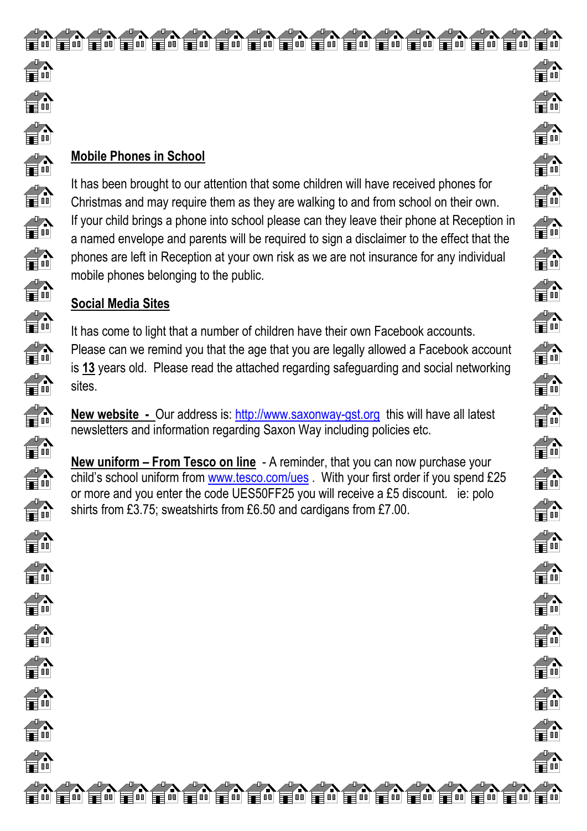#### **Mobile Phones in School**

It has been brought to our attention that some children will have received phones for Christmas and may require them as they are walking to and from school on their own. If your child brings a phone into school please can they leave their phone at Reception in a named envelope and parents will be required to sign a disclaimer to the effect that the phones are left in Reception at your own risk as we are not insurance for any individual mobile phones belonging to the public.

#### **Social Media Sites**

It has come to light that a number of children have their own Facebook accounts. Please can we remind you that the age that you are legally allowed a Facebook account is **13** years old. Please read the attached regarding safeguarding and social networking sites.

**New website -** Our address is: [http://www.saxonway-gst.org](http://www.saxonway-gst.org/) this will have all latest newsletters and information regarding Saxon Way including policies etc.

**New uniform – From Tesco on line** - A reminder, that you can now purchase your child's school uniform from [www.tesco.com/ues](http://www.tesco.com/ues) . With your first order if you spend £25 or more and you enter the code UES50FF25 you will receive a £5 discount. ie: polo shirts from £3.75; sweatshirts from £6.50 and cardigans from £7.00.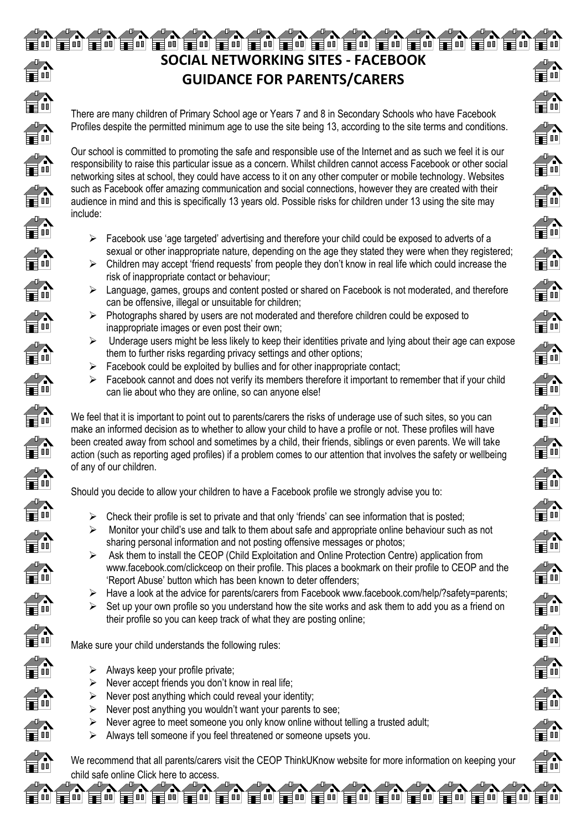## **SOCIAL NETWORKING SITES - FACEBOOK GUIDANCE FOR PARENTS/CARERS**

There are many children of Primary School age or Years 7 and 8 in Secondary Schools who have Facebook Profiles despite the permitted minimum age to use the site being 13, according to the site terms and conditions.

Our school is committed to promoting the safe and responsible use of the Internet and as such we feel it is our responsibility to raise this particular issue as a concern. Whilst children cannot access Facebook or other social networking sites at school, they could have access to it on any other computer or mobile technology. Websites such as Facebook offer amazing communication and social connections, however they are created with their audience in mind and this is specifically 13 years old. Possible risks for children under 13 using the site may include:

- $\triangleright$  Facebook use 'age targeted' advertising and therefore your child could be exposed to adverts of a sexual or other inappropriate nature, depending on the age they stated they were when they registered;
- $\triangleright$  Children may accept 'friend requests' from people they don't know in real life which could increase the risk of inappropriate contact or behaviour;
- $\triangleright$  Language, games, groups and content posted or shared on Facebook is not moderated, and therefore can be offensive, illegal or unsuitable for children;
- $\triangleright$  Photographs shared by users are not moderated and therefore children could be exposed to inappropriate images or even post their own;
- $\triangleright$  Underage users might be less likely to keep their identities private and lying about their age can expose them to further risks regarding privacy settings and other options;
- $\triangleright$  Facebook could be exploited by bullies and for other inappropriate contact;
- $\triangleright$  Facebook cannot and does not verify its members therefore it important to remember that if your child can lie about who they are online, so can anyone else!

We feel that it is important to point out to parents/carers the risks of underage use of such sites, so you can make an informed decision as to whether to allow your child to have a profile or not. These profiles will have been created away from school and sometimes by a child, their friends, siblings or even parents. We will take action (such as reporting aged profiles) if a problem comes to our attention that involves the safety or wellbeing of any of our children.

Should you decide to allow your children to have a Facebook profile we strongly advise you to:

- $\triangleright$  Check their profile is set to private and that only 'friends' can see information that is posted;
- $\triangleright$  Monitor your child's use and talk to them about safe and appropriate online behaviour such as not sharing personal information and not posting offensive messages or photos;
- $\triangleright$  Ask them to install the CEOP (Child Exploitation and Online Protection Centre) application from www.facebook.com/clickceop on their profile. This places a bookmark on their profile to CEOP and the 'Report Abuse' button which has been known to deter offenders;
- Have a look at the advice for parents/carers from Facebook www.facebook.com/help/?safety=parents;
- $\triangleright$  Set up your own profile so you understand how the site works and ask them to add you as a friend on their profile so you can keep track of what they are posting online;

Make sure your child understands the following rules:

 $\triangleright$  Always keep your profile private;

国画

Á

—<br>≣‴

- $\triangleright$  Never accept friends you don't know in real life;
- $\triangleright$  Never post anything which could reveal your identity;
- $\triangleright$  Never post anything you wouldn't want your parents to see;
- $\triangleright$  Never agree to meet someone you only know online without telling a trusted adult;
- $\triangleright$  Always tell someone if you feel threatened or someone upsets you.

We recommend that all parents/carers visit the CEOP ThinkUKnow website for more information on keeping your child safe online Click here to access.

<u>EDEDEDEDEDEDEDEDED</u>